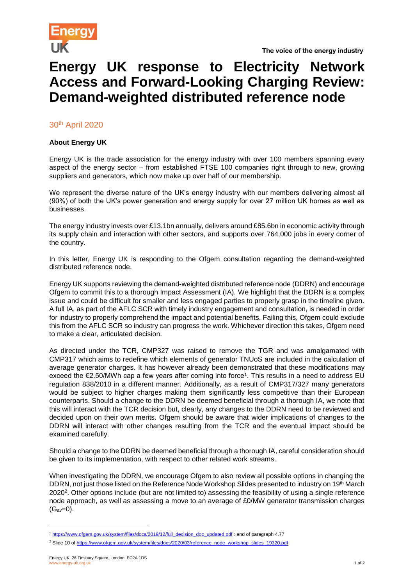

## **Energy UK response to Electricity Network Access and Forward-Looking Charging Review: Demand-weighted distributed reference node**

30<sup>th</sup> April 2020

## **About Energy UK**

Energy UK is the trade association for the energy industry with over 100 members spanning every aspect of the energy sector – from established FTSE 100 companies right through to new, growing suppliers and generators, which now make up over half of our membership.

We represent the diverse nature of the UK's energy industry with our members delivering almost all (90%) of both the UK's power generation and energy supply for over 27 million UK homes as well as businesses.

The energy industry invests over £13.1bn annually, delivers around £85.6bn in economic activity through its supply chain and interaction with other sectors, and supports over 764,000 jobs in every corner of the country.

In this letter, Energy UK is responding to the Ofgem consultation regarding the demand-weighted distributed reference node.

Energy UK supports reviewing the demand-weighted distributed reference node (DDRN) and encourage Ofgem to commit this to a thorough Impact Assessment (IA). We highlight that the DDRN is a complex issue and could be difficult for smaller and less engaged parties to properly grasp in the timeline given. A full IA, as part of the AFLC SCR with timely industry engagement and consultation, is needed in order for industry to properly comprehend the impact and potential benefits. Failing this, Ofgem could exclude this from the AFLC SCR so industry can progress the work. Whichever direction this takes, Ofgem need to make a clear, articulated decision.

As directed under the TCR, CMP327 was raised to remove the TGR and was amalgamated with CMP317 which aims to redefine which elements of generator TNUoS are included in the calculation of average generator charges. It has however already been demonstrated that these modifications may exceed the €2.50/MWh cap a few years after coming into force<sup>1</sup>. This results in a need to address EU regulation 838/2010 in a different manner. Additionally, as a result of CMP317/327 many generators would be subject to higher charges making them significantly less competitive than their European counterparts. Should a change to the DDRN be deemed beneficial through a thorough IA, we note that this will interact with the TCR decision but, clearly, any changes to the DDRN need to be reviewed and decided upon on their own merits. Ofgem should be aware that wider implications of changes to the DDRN will interact with other changes resulting from the TCR and the eventual impact should be examined carefully.

Should a change to the DDRN be deemed beneficial through a thorough IA, careful consideration should be given to its implementation, with respect to other related work streams.

When investigating the DDRN, we encourage Ofgem to also review all possible options in changing the DDRN, not just those listed on the Reference Node Workshop Slides presented to industry on 19th March 2020<sup>2</sup>. Other options include (but are not limited to) assessing the feasibility of using a single reference node approach, as well as assessing a move to an average of £0/MW generator transmission charges  $(G_{av}=0)$ .

l

<sup>1</sup> [https://www.ofgem.gov.uk/system/files/docs/2019/12/full\\_decision\\_doc\\_updated.pdf](https://www.ofgem.gov.uk/system/files/docs/2019/12/full_decision_doc_updated.pdf) : end of paragraph 4.77

<sup>&</sup>lt;sup>2</sup> Slide 10 of [https://www.ofgem.gov.uk/system/files/docs/2020/03/reference\\_node\\_workshop\\_slides\\_19320.pdf](https://www.ofgem.gov.uk/system/files/docs/2020/03/reference_node_workshop_slides_19320.pdf)